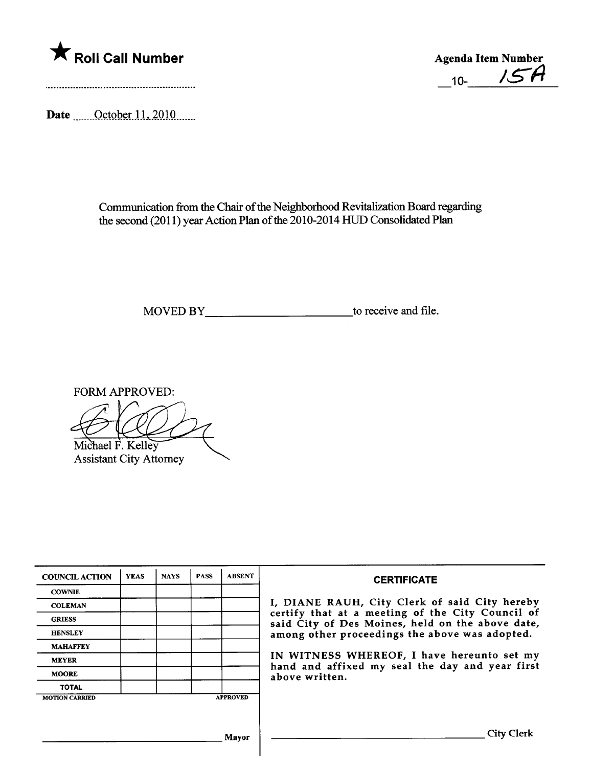

 $10 - 15A$ 

Date ....... October 11, 2010 ......

Communication from the Chair of the Neighborhood Revitalization Board regarding the second (2011) year Action Plan of the 2010-2014 HUD Consolidated Plan

MOVED BY\_\_\_\_\_\_\_\_\_\_\_\_\_\_\_\_\_\_\_\_\_\_\_\_\_\_\_\_\_\_\_\_\_\_\_to receive and file.

FORM APPROVED:

Michael F. Kelley

**Assistant City Attorney** 

| <b>COUNCIL ACTION</b> | <b>YEAS</b> | <b>NAYS</b> | <b>PASS</b> | <b>ABSENT</b>   | <b>CERTIFICATE</b>                                                                                   |
|-----------------------|-------------|-------------|-------------|-----------------|------------------------------------------------------------------------------------------------------|
| <b>COWNIE</b>         |             |             |             |                 |                                                                                                      |
| <b>COLEMAN</b>        |             |             |             |                 | I, DIANE RAUH, City Clerk of said City hereby                                                        |
| <b>GRIESS</b>         |             |             |             |                 | certify that at a meeting of the City Council of<br>said City of Des Moines, held on the above date, |
| <b>HENSLEY</b>        |             |             |             |                 | among other proceedings the above was adopted.                                                       |
| <b>MAHAFFEY</b>       |             |             |             |                 |                                                                                                      |
| <b>MEYER</b>          |             |             |             |                 | IN WITNESS WHEREOF, I have hereunto set my                                                           |
| <b>MOORE</b>          |             |             |             |                 | hand and affixed my seal the day and year first<br>above written.                                    |
| <b>TOTAL</b>          |             |             |             |                 |                                                                                                      |
| <b>MOTION CARRIED</b> |             |             |             | <b>APPROVED</b> |                                                                                                      |
|                       |             |             |             |                 |                                                                                                      |
|                       |             |             |             | Mavor           | City Clerk                                                                                           |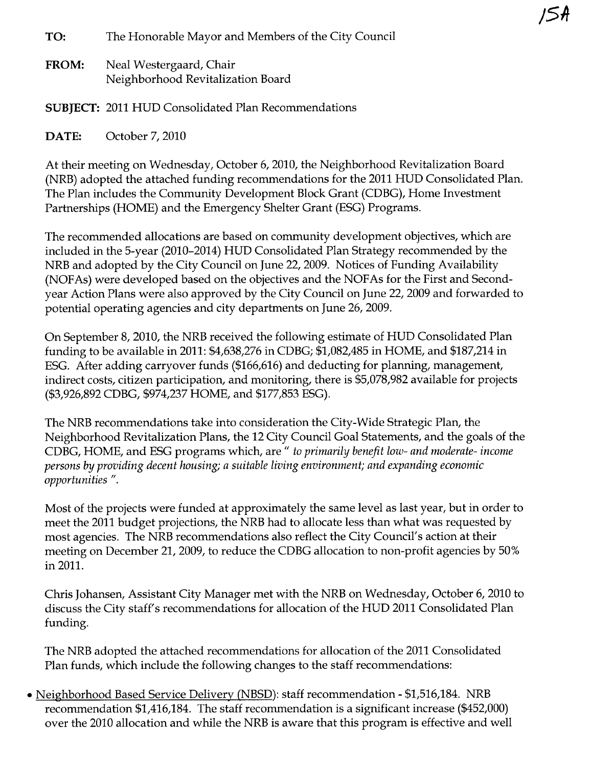TO: The Honorable Mayor and Members of the City Council

FROM: Neal Westergaard, Chair Neighborhood Revitalization Board

SUBJECT: 2011 HUD Consolidated Plan Recommendations

DATE: October 7, 2010

At their meeting on Wednesday, October 6, 2010, the Neighborhood Revitalization Board (NRB) adopted the attached funding recommendations for the 2011 HUD Consolidated Plan. The Plan includes the Community Development Block Grant (CDBG), Home Investment Partnerships (HOME) and the Emergency Shelter Grant (ESG) Programs.

The recommended allocations are based on community development objectives, which are included in the 5-year (2010-2014) HUD Consolidated Plan Strategy recommended by the NRB and adopted by the City Council on June 22, 2009. Notices of Funding Availability (NOFAs) were developed based on the objectives and the NOFAs for the First and Secondyear Action Plans were also approved by the City Council on June 22, 2009 and forwarded to potential operating agencies and city departments on June 26, 2009.

On September 8,2010, the NRB received the following estimate of HUD Consolidated Plan funding to be available in 2011: \$4,638,276 in CDBG; \$1,082,485 in HOME, and \$187,214 in ESG. After adding carryover funds (\$166,616) and deducting for planning, management, indirect costs, citizen participation, and monitoring, there is \$5,078,982 available for projects (\$3,926,892 CDBG, \$974,237 HOME, and \$177,853 ESG).

The NRB recommendations take into consideration the City-Wide Strategic Plan, the Neighborhood Revitalization Plans, the 12 City Council Goal Statements, and the goals of the CDBG, HOME, and ESG programs which, are " to primarily benefit low- and moderate- income persons by providing decent housing; a suitable living environment; and expanding economic opportunities ".

Most of the projects were funded at approximately the same level as last year, but in order to meet the 2011 budget projections, the NRB had to allocate less than what was requested by most agencies. The NRB recommendations also reflect the City Council's action at their meeting on December 21, 2009, to reduce the CDBG allocation to non-profit agencies by 50% in 2011.

Chris Johansen, Assistant City Manager met with the NRB on Wednesday, October 6, 2010 to discuss the City staff's recommendations for allocation of the HUD 2011 Consolidated Plan funding.

The NRB adopted the attached recommendations for allocation of the 2011 Consolidated Plan funds, which include the following changes to the staff recommendations:

. Neighborhood Based Service Delivery (NBSD): staff recommendation - \$1,516,184. NRB recommendation \$1,416,184. The staff recommendation is a significant increase (\$452,000) over the 2010 allocation and while the NRB is aware that this program is effective and well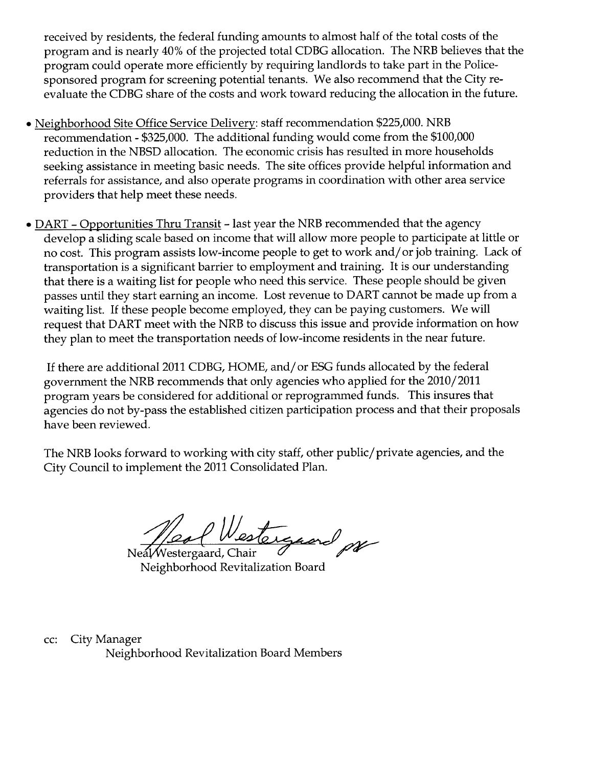received by residents, the federal funding amounts to almost half of the total costs of the program and is nearly 40% of the projected total CDBG allocation. The NRB believes that the program could operate more efficiently by requiring landlords to take part in the Policesponsored program for screening potential tenants. We also recommend that the City reevaluate the CDBG share of the costs and work toward reducing the allocation in the future.

- . Neighborhood Site Office Service Delivery: staff recommendation \$225,000. NRB recommendation - \$325,000. The additional funding would come from the \$100,000 reduction in the NBSD allocation. The economic crisis has resulted in more households seeking assistance in meeting basic needs. The site offices provide helpful information and referrals for assistance, and also operate programs in coordination with other area service providers that help meet these needs.
- DART Opportunities Thru Transit last year the NRB recommended that the agency develop a sliding scale based on income that will allow more people to participate at little or no cost. This program assists low-income people to get to work and/ or job training. Lack of transportation is a significant barrier to employment and training. It is our understanding that there is a waiting list for people who need this service. These people should be given passes until they start earning an income. Lost revenue to DART cannot be made up from a waiting list. If these people become employed, they can be paying customers. We wil request that DART meet with the NRB to discuss this issue and provide information on how they plan to meet the transportation needs of low-income residents in the near future.

If there are additional 2011 CDBG, HOME, and/ or ESG funds allocated by the federal government the NRB recommends that only agencies who applied for the 2010/2011 program years be considered for additional or reprogrammed funds. This insures that agencies do not by-pass the established citizen participation process and that their proposals have been reviewed.

The NRB looks forward to working with city staff, other public/private agencies, and the City Council to implement the 2011 Consolidated Plan.

Nestergaard por

Neighborhood Revitalization Board

cc: City Manager Neighborhood Revitalization Board Members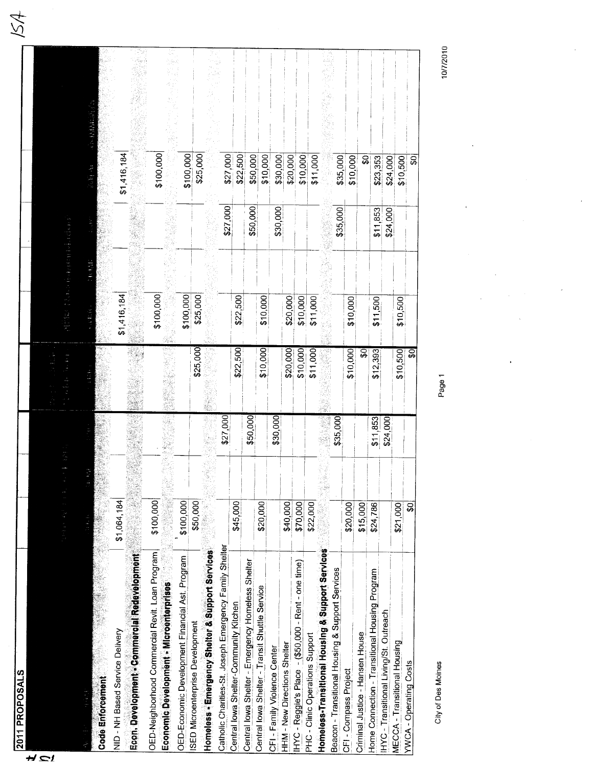| 2011 PROPOSALS                                         |             |          |          |             |          |                          |  |
|--------------------------------------------------------|-------------|----------|----------|-------------|----------|--------------------------|--|
|                                                        |             |          |          |             |          |                          |  |
|                                                        |             |          |          |             |          |                          |  |
|                                                        |             |          |          |             |          |                          |  |
|                                                        |             |          |          |             |          |                          |  |
|                                                        | í           |          |          |             |          |                          |  |
| Code Enforcement                                       |             |          |          |             |          |                          |  |
| NID - NH Based Service Delivery                        | \$1,064,184 |          |          | \$1,416,184 |          | \$1,416,184              |  |
| Econ. Development - Commercial Redevelopment           |             |          |          |             |          |                          |  |
| OED-Neighborhood Commercial Revit. Loan Program        | \$100,000   |          |          |             |          |                          |  |
| Economic Development - Microenterprises                |             |          |          | \$100,000   |          | \$100,000                |  |
| OED-Economic Development Financial Ast. Program        | \$100,000   |          |          |             |          |                          |  |
| <b>SED Microenterprise Development</b>                 | \$50,000    |          |          | \$100,000   |          | \$100,000                |  |
|                                                        |             |          | \$25,000 | \$25,000    |          | \$25,000                 |  |
| Homeless - Emergency Shelter & Support Services        |             |          |          |             |          |                          |  |
| Catholic Charities-St. Joseph Emergency Family Shelter |             | \$27,000 |          |             | \$27,000 | \$27,000                 |  |
| Central lowa Shelter-Community Kitchen                 | \$45,000    |          | \$22,500 | \$22,500    |          | \$22,500                 |  |
| Central lowa Shelter - Emergency Homeless Shelter      |             | \$50,000 |          |             | \$50,000 | \$50,000                 |  |
| Central Iowa Shelter - Transit Shuttle Service         | \$20,000    |          | \$10,000 | \$10,000    |          | \$10,000                 |  |
| CFI-Family Violence Center                             |             | \$30,000 |          |             | \$30,000 |                          |  |
| HHM - New Directions Shelter                           | \$40,000    |          | \$20,000 | \$20,000    |          | \$20,000<br>\$30,000     |  |
| IHYC - Reggie's Place - (\$50,000 - Rent - one time)   | \$70,000    |          | \$10,000 | \$10,000    |          | \$10,000                 |  |
| PHC - Clinic Operations Support                        | \$22,000    |          | \$11,000 | \$11,000    |          | \$11,000                 |  |
| Homeless-Transitional Housing & Support Services       |             |          |          |             |          |                          |  |
| Beacon - Transitional Housing & Support Services       |             | \$35,000 |          |             | \$35,000 | \$35,000                 |  |
| CFI-Compass Project                                    | \$20,000    |          | \$10,000 | \$10,000    |          | \$10,000                 |  |
| Criminal Justice - Hansen House                        | \$15,000    |          | င္တ      |             |          | $\overline{\mathbf{50}}$ |  |
| Home Connection - Transitional Housing Program         | \$24,786    | \$11,853 | \$12,393 | \$11,500    | \$11,853 | \$23,353                 |  |
| IHYC - Transitional Living/St. Outreach                |             | \$24,000 |          |             | \$24,000 | \$24,000                 |  |
| MECCA - Transitional Housing                           | \$21,000    |          | \$10,500 | \$10,500    |          | \$10,500                 |  |
| <b>YWCA - Operating Costs</b>                          | ន្ធ         |          | \$OJ     |             |          | ę,                       |  |
|                                                        |             |          |          |             |          |                          |  |

City of Des Moines

Page 1

10/7/2010

 $\frac{1}{12}$ 

154